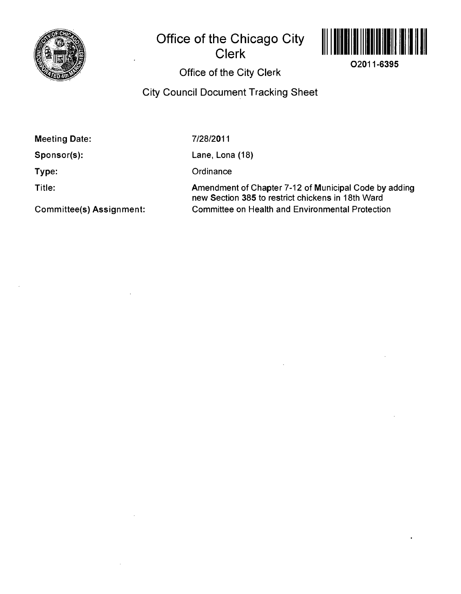

## **Office of the Chicago City Clerk**



**02011-6395** 

#### **Office of the City Clerk**

### **City Council Document Tracking Sheet**

**Meeting Date:** 

**Sponsor(s):** 

**Type:** 

**Title:** 

7/28/2011

Lane, Lona (18)

**Ordinance** 

Amendment of Chapter 7-12 of Municipal Code by adding new Section 385 to restrict chickens in 18th Ward Committee on Health and Environmental Protection

**Committee(s) Assignment:**